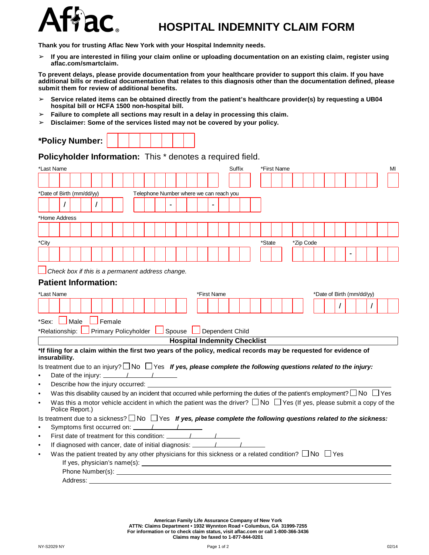

## **HOSPITAL INDEMNITY CLAIM FORM**

**Thank you for trusting Aflac New York with your Hospital Indemnity needs.**

 $>$  If you are interested in filing your claim online or uploading documentation on an existing claim, register using **aflac.com/smartclaim.**

To prevent delays, please provide documentation from your healthcare provider to support this claim. If you have additional bills or medical documentation that relates to this diagnosis other than the documentation defined, please **submit them for review of additional benefits.**

- ➢ **Service related items can be obtained directly from the patient's healthcare provider(s) by requesting a UB04 hospital bill or HCFA 1500 non-hospital bill.**
- ➢ **Failure to complete all sections may result in a delay in processing this claim.**
- ➢ **Disclaimer: Some of the services listed may not be covered by your policy.**

|  | *Policy Number: |  |  |  |  |  |  |  |  |
|--|-----------------|--|--|--|--|--|--|--|--|
|--|-----------------|--|--|--|--|--|--|--|--|

**Policyholder Information:** This \* denotes a required field.

|           | *Last Name                  |          |  |                                                                                                          |  |  |  |  |             | Suffix                                  |  | *First Name                                                                                                                                                                                                                          |  |           |  |  |                           |                                                                                                                                       | MI |
|-----------|-----------------------------|----------|--|----------------------------------------------------------------------------------------------------------|--|--|--|--|-------------|-----------------------------------------|--|--------------------------------------------------------------------------------------------------------------------------------------------------------------------------------------------------------------------------------------|--|-----------|--|--|---------------------------|---------------------------------------------------------------------------------------------------------------------------------------|----|
|           |                             |          |  |                                                                                                          |  |  |  |  |             |                                         |  |                                                                                                                                                                                                                                      |  |           |  |  |                           |                                                                                                                                       |    |
|           |                             |          |  |                                                                                                          |  |  |  |  |             |                                         |  |                                                                                                                                                                                                                                      |  |           |  |  |                           |                                                                                                                                       |    |
|           | *Date of Birth (mm/dd/yy)   |          |  |                                                                                                          |  |  |  |  |             | Telephone Number where we can reach you |  |                                                                                                                                                                                                                                      |  |           |  |  |                           |                                                                                                                                       |    |
|           |                             |          |  |                                                                                                          |  |  |  |  |             |                                         |  |                                                                                                                                                                                                                                      |  |           |  |  |                           |                                                                                                                                       |    |
|           | *Home Address               |          |  |                                                                                                          |  |  |  |  |             |                                         |  |                                                                                                                                                                                                                                      |  |           |  |  |                           |                                                                                                                                       |    |
|           |                             |          |  |                                                                                                          |  |  |  |  |             |                                         |  |                                                                                                                                                                                                                                      |  |           |  |  |                           |                                                                                                                                       |    |
|           |                             |          |  |                                                                                                          |  |  |  |  |             |                                         |  |                                                                                                                                                                                                                                      |  |           |  |  |                           |                                                                                                                                       |    |
| *City     |                             |          |  |                                                                                                          |  |  |  |  |             |                                         |  | *State                                                                                                                                                                                                                               |  | *Zip Code |  |  |                           |                                                                                                                                       |    |
|           |                             |          |  |                                                                                                          |  |  |  |  |             |                                         |  |                                                                                                                                                                                                                                      |  |           |  |  |                           |                                                                                                                                       |    |
|           |                             |          |  |                                                                                                          |  |  |  |  |             |                                         |  |                                                                                                                                                                                                                                      |  |           |  |  |                           |                                                                                                                                       |    |
|           |                             |          |  | $\Box$ Check box if this is a permanent address change.                                                  |  |  |  |  |             |                                         |  |                                                                                                                                                                                                                                      |  |           |  |  |                           |                                                                                                                                       |    |
|           | <b>Patient Information:</b> |          |  |                                                                                                          |  |  |  |  |             |                                         |  |                                                                                                                                                                                                                                      |  |           |  |  |                           |                                                                                                                                       |    |
|           | *Last Name                  |          |  |                                                                                                          |  |  |  |  | *First Name |                                         |  |                                                                                                                                                                                                                                      |  |           |  |  | *Date of Birth (mm/dd/yy) |                                                                                                                                       |    |
|           |                             |          |  |                                                                                                          |  |  |  |  |             |                                         |  |                                                                                                                                                                                                                                      |  |           |  |  |                           |                                                                                                                                       |    |
|           |                             |          |  |                                                                                                          |  |  |  |  |             |                                         |  |                                                                                                                                                                                                                                      |  |           |  |  |                           |                                                                                                                                       |    |
|           | *Sex: Male                  |          |  | Female                                                                                                   |  |  |  |  |             |                                         |  |                                                                                                                                                                                                                                      |  |           |  |  |                           |                                                                                                                                       |    |
|           | *Relationship: L            |          |  | Primary Policyholder Spouse Dependent Child                                                              |  |  |  |  |             |                                         |  |                                                                                                                                                                                                                                      |  |           |  |  |                           |                                                                                                                                       |    |
|           |                             |          |  |                                                                                                          |  |  |  |  |             | <b>Hospital Indemnity Checklist</b>     |  |                                                                                                                                                                                                                                      |  |           |  |  |                           |                                                                                                                                       |    |
|           |                             |          |  |                                                                                                          |  |  |  |  |             |                                         |  |                                                                                                                                                                                                                                      |  |           |  |  |                           |                                                                                                                                       |    |
|           | insurability.               |          |  |                                                                                                          |  |  |  |  |             |                                         |  | *If filing for a claim within the first two years of the policy, medical records may be requested for evidence of                                                                                                                    |  |           |  |  |                           |                                                                                                                                       |    |
|           |                             |          |  |                                                                                                          |  |  |  |  |             |                                         |  | Is treatment due to an injury? $\Box$ No $\Box$ Yes If yes, please complete the following questions related to the injury:                                                                                                           |  |           |  |  |                           |                                                                                                                                       |    |
| $\bullet$ |                             |          |  | Date of the injury: $\frac{1}{\sqrt{1-\frac{1}{2}}}\left\vert \frac{1}{\sqrt{1-\frac{1}{2}}}\right\vert$ |  |  |  |  |             |                                         |  |                                                                                                                                                                                                                                      |  |           |  |  |                           |                                                                                                                                       |    |
| $\bullet$ |                             |          |  | Describe how the injury occurred:                                                                        |  |  |  |  |             |                                         |  |                                                                                                                                                                                                                                      |  |           |  |  |                           |                                                                                                                                       |    |
| $\bullet$ |                             |          |  |                                                                                                          |  |  |  |  |             |                                         |  |                                                                                                                                                                                                                                      |  |           |  |  |                           | Was this disability caused by an incident that occurred while performing the duties of the patient's employment? $\Box$ No $\Box$ Yes |    |
| $\bullet$ |                             |          |  |                                                                                                          |  |  |  |  |             |                                         |  |                                                                                                                                                                                                                                      |  |           |  |  |                           | Was this a motor vehicle accident in which the patient was the driver? $\Box$ No $\Box$ Yes (If yes, please submit a copy of the      |    |
|           | Police Report.)             |          |  |                                                                                                          |  |  |  |  |             |                                         |  |                                                                                                                                                                                                                                      |  |           |  |  |                           |                                                                                                                                       |    |
|           |                             |          |  |                                                                                                          |  |  |  |  |             |                                         |  |                                                                                                                                                                                                                                      |  |           |  |  |                           | Is treatment due to a sickness? $\Box$ No $\Box$ Yes If yes, please complete the following questions related to the sickness:         |    |
| $\bullet$ |                             |          |  |                                                                                                          |  |  |  |  |             |                                         |  |                                                                                                                                                                                                                                      |  |           |  |  |                           |                                                                                                                                       |    |
| $\bullet$ |                             |          |  |                                                                                                          |  |  |  |  |             |                                         |  |                                                                                                                                                                                                                                      |  |           |  |  |                           |                                                                                                                                       |    |
| $\bullet$ |                             |          |  |                                                                                                          |  |  |  |  |             |                                         |  |                                                                                                                                                                                                                                      |  |           |  |  |                           |                                                                                                                                       |    |
| $\bullet$ |                             |          |  |                                                                                                          |  |  |  |  |             |                                         |  | Was the patient treated by any other physicians for this sickness or a related condition? $\square$ No $\square$ Yes                                                                                                                 |  |           |  |  |                           |                                                                                                                                       |    |
|           |                             |          |  |                                                                                                          |  |  |  |  |             |                                         |  | If yes, physician's name(s): $\qquad \qquad$                                                                                                                                                                                         |  |           |  |  |                           |                                                                                                                                       |    |
|           |                             |          |  |                                                                                                          |  |  |  |  |             |                                         |  | Phone Number(s): <u>Andrea Barbara and Barbara and Barbara and Barbara and Barbara and Barbara and Barbara and Barbara and Barbara and Barbara and Barbara and Barbara and Barbara and Barbara and Barbara and Barbara and Barba</u> |  |           |  |  |                           |                                                                                                                                       |    |
|           |                             | Address: |  |                                                                                                          |  |  |  |  |             |                                         |  |                                                                                                                                                                                                                                      |  |           |  |  |                           |                                                                                                                                       |    |

American Family Life Assurance Company of New York<br>ATTN: Claims Department • 1932 Wynnton Road • Columbus, GA 31999-7255 **For information or to check claim status, visit aflac.com or call 1-800-366-3436 Claims may be faxed to 1-877-844-0201**